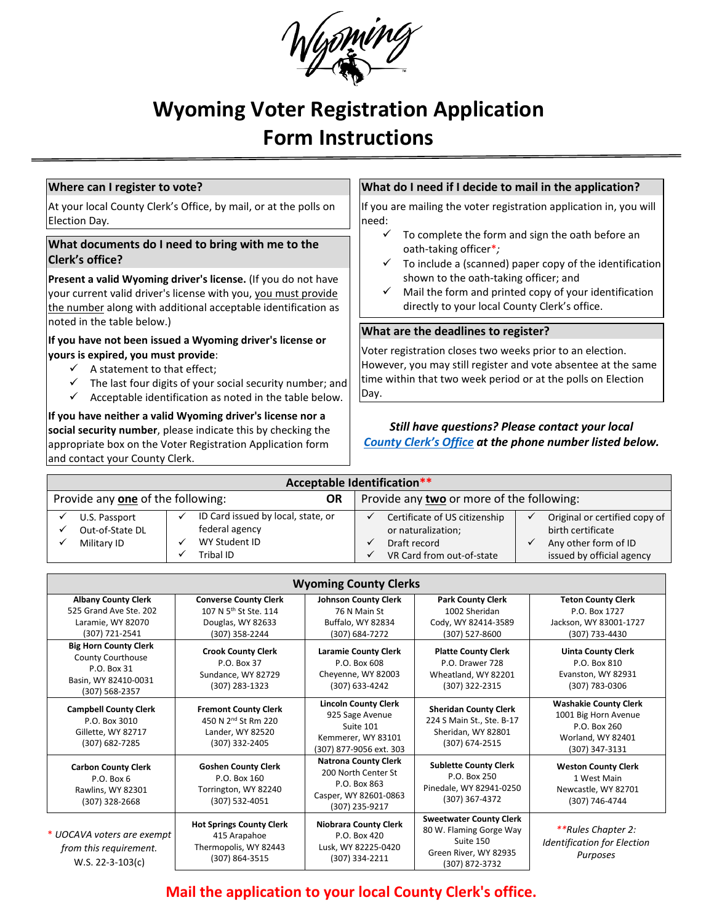

# **Wyoming Voter Registration Application Form Instructions**

#### **Where can I register to vote?**

At your local County Clerk's Office, by mail, or at the polls on Election Day*.* 

## **What documents do I need to bring with me to the Clerk's office?**

**Present a valid Wyoming driver's license.** (If you do not have your current valid driver's license with you, you must provide the number along with additional acceptable identification as noted in the table below.)

#### **If you have not been issued a Wyoming driver's license or yours is expired, you must provide**:

- $\checkmark$  A statement to that effect:
- $\checkmark$  The last four digits of your social security number; and
- $\checkmark$  Acceptable identification as noted in the table below.

**If you have neither a valid Wyoming driver's license nor a social security number**, please indicate this by checking the appropriate box on the Voter Registration Application form and contact your County Clerk.

#### **What do I need if I decide to mail in the application?**

If you are mailing the voter registration application in, you will need:

- $\checkmark$  To complete the form and sign the oath before an oath-taking officer\**;*
- $\checkmark$  To include a (scanned) paper copy of the identification shown to the oath-taking officer; and
- $\checkmark$  Mail the form and printed copy of your identification directly to your local County Clerk's office.

#### **What are the deadlines to register?**

Voter registration closes two weeks prior to an election. However, you may still register and vote absentee at the same time within that two week period or at the polls on Election Day.

### *Still have questions? Please contact your local [County Clerk's Office](http://soswy.state.wy.us/Elections/Docs/WYCountyClerks.pdf) at the phone number listed below.*

| <b>Acceptable Identification**</b>             |                 |  |                                           |  |                               |  |                               |  |  |  |
|------------------------------------------------|-----------------|--|-------------------------------------------|--|-------------------------------|--|-------------------------------|--|--|--|
| Provide any one of the following:<br><b>OR</b> |                 |  | Provide any two or more of the following: |  |                               |  |                               |  |  |  |
|                                                | U.S. Passport   |  | ID Card issued by local, state, or        |  | Certificate of US citizenship |  | Original or certified copy of |  |  |  |
|                                                | Out-of-State DL |  | federal agency                            |  | or naturalization;            |  | birth certificate             |  |  |  |
|                                                | Military ID     |  | WY Student ID                             |  | Draft record                  |  | Any other form of ID          |  |  |  |
|                                                |                 |  | Tribal ID                                 |  | VR Card from out-of-state     |  | issued by official agency     |  |  |  |

| <b>Wyoming County Clerks</b>                                                                               |                                                                                                          |                                                                                                               |                                                                                                                   |                                                                                                             |  |  |
|------------------------------------------------------------------------------------------------------------|----------------------------------------------------------------------------------------------------------|---------------------------------------------------------------------------------------------------------------|-------------------------------------------------------------------------------------------------------------------|-------------------------------------------------------------------------------------------------------------|--|--|
| <b>Albany County Clerk</b><br>525 Grand Ave Ste, 202<br>Laramie, WY 82070<br>(307) 721-2541                | <b>Converse County Clerk</b><br>107 N 5 <sup>th</sup> St Ste. 114<br>Douglas, WY 82633<br>(307) 358-2244 | <b>Johnson County Clerk</b><br>76 N Main St<br>Buffalo, WY 82834<br>(307) 684-7272                            | <b>Park County Clerk</b><br>1002 Sheridan<br>Cody, WY 82414-3589<br>(307) 527-8600                                | <b>Teton County Clerk</b><br>P.O. Box 1727<br>Jackson, WY 83001-1727<br>(307) 733-4430                      |  |  |
| <b>Big Horn County Clerk</b><br>County Courthouse<br>P.O. Box 31<br>Basin, WY 82410-0031<br>(307) 568-2357 | <b>Crook County Clerk</b><br>P.O. Box 37<br>Sundance, WY 82729<br>(307) 283-1323                         | <b>Laramie County Clerk</b><br>P.O. Box 608<br>Cheyenne, WY 82003<br>(307) 633-4242                           | <b>Platte County Clerk</b><br>P.O. Drawer 728<br>Wheatland, WY 82201<br>(307) 322-2315                            | <b>Uinta County Clerk</b><br>P.O. Box 810<br>Evanston, WY 82931<br>(307) 783-0306                           |  |  |
| <b>Campbell County Clerk</b><br>P.O. Box 3010<br>Gillette, WY 82717<br>(307) 682-7285                      | <b>Fremont County Clerk</b><br>450 N 2 <sup>nd</sup> St Rm 220<br>Lander, WY 82520<br>(307) 332-2405     | <b>Lincoln County Clerk</b><br>925 Sage Avenue<br>Suite 101<br>Kemmerer, WY 83101<br>(307) 877-9056 ext. 303  | <b>Sheridan County Clerk</b><br>224 S Main St., Ste. B-17<br>Sheridan, WY 82801<br>(307) 674-2515                 | <b>Washakie County Clerk</b><br>1001 Big Horn Avenue<br>P.O. Box 260<br>Worland, WY 82401<br>(307) 347-3131 |  |  |
| <b>Carbon County Clerk</b><br>$P.O.$ Box 6<br>Rawlins, WY 82301<br>(307) 328-2668                          | <b>Goshen County Clerk</b><br>P.O. Box 160<br>Torrington, WY 82240<br>$(307) 532 - 4051$                 | <b>Natrona County Clerk</b><br>200 North Center St<br>P.O. Box 863<br>Casper, WY 82601-0863<br>(307) 235-9217 | <b>Sublette County Clerk</b><br>P.O. Box 250<br>Pinedale, WY 82941-0250<br>(307) 367-4372                         | <b>Weston County Clerk</b><br>1 West Main<br>Newcastle, WY 82701<br>(307) 746-4744                          |  |  |
| * UOCAVA voters are exempt<br>from this requirement.<br>W.S. 22-3-103(c)                                   | <b>Hot Springs County Clerk</b><br>415 Arapahoe<br>Thermopolis, WY 82443<br>(307) 864-3515               | <b>Niobrara County Clerk</b><br>P.O. Box 420<br>Lusk, WY 82225-0420<br>(307) 334-2211                         | <b>Sweetwater County Clerk</b><br>80 W. Flaming Gorge Way<br>Suite 150<br>Green River, WY 82935<br>(307) 872-3732 | **Rules Chapter 2:<br><b>Identification for Election</b><br>Purposes                                        |  |  |

# **Mail the application to your local County Clerk's office.**